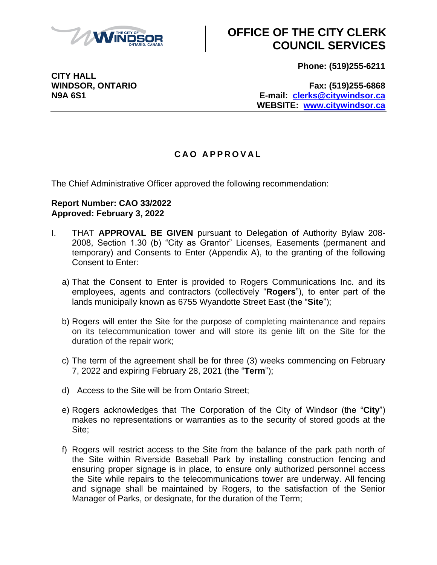

# **OFFICE OF THE CITY CLERK COUNCIL SERVICES**

**Phone: (519)255-6211**

**CITY HALL**

**WINDSOR, ONTARIO Fax: (519)255-6868 N9A 6S1 E-mail: [clerks@citywindsor.ca](mailto:clerks@citywindsor.ca) WEBSITE: [www.citywindsor.ca](http://www.citywindsor.ca/)**

#### **C A O A P P R O V A L**

The Chief Administrative Officer approved the following recommendation:

#### **Report Number: CAO 33/2022 Approved: February 3, 2022**

- I. THAT **APPROVAL BE GIVEN** pursuant to Delegation of Authority Bylaw 208- 2008, Section 1.30 (b) "City as Grantor" Licenses, Easements (permanent and temporary) and Consents to Enter (Appendix A), to the granting of the following Consent to Enter:
	- a) That the Consent to Enter is provided to Rogers Communications Inc. and its employees, agents and contractors (collectively "**Rogers**"), to enter part of the lands municipally known as 6755 Wyandotte Street East (the "**Site**");
	- b) Rogers will enter the Site for the purpose of completing maintenance and repairs on its telecommunication tower and will store its genie lift on the Site for the duration of the repair work;
	- c) The term of the agreement shall be for three (3) weeks commencing on February 7, 2022 and expiring February 28, 2021 (the "**Term**");
	- d) Access to the Site will be from Ontario Street;
	- e) Rogers acknowledges that The Corporation of the City of Windsor (the "**City**") makes no representations or warranties as to the security of stored goods at the Site;
	- f) Rogers will restrict access to the Site from the balance of the park path north of the Site within Riverside Baseball Park by installing construction fencing and ensuring proper signage is in place, to ensure only authorized personnel access the Site while repairs to the telecommunications tower are underway. All fencing and signage shall be maintained by Rogers, to the satisfaction of the Senior Manager of Parks, or designate, for the duration of the Term;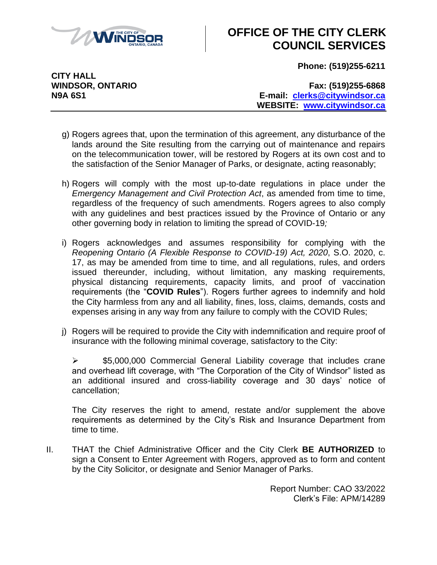

# **OFFICE OF THE CITY CLERK COUNCIL SERVICES**

**Phone: (519)255-6211**

**CITY HALL**

**WINDSOR, ONTARIO Fax: (519)255-6868 N9A 6S1 E-mail: [clerks@citywindsor.ca](mailto:clerks@citywindsor.ca) WEBSITE: [www.citywindsor.ca](http://www.citywindsor.ca/)**

- g) Rogers agrees that, upon the termination of this agreement, any disturbance of the lands around the Site resulting from the carrying out of maintenance and repairs on the telecommunication tower, will be restored by Rogers at its own cost and to the satisfaction of the Senior Manager of Parks, or designate, acting reasonably;
- h) Rogers will comply with the most up-to-date regulations in place under the *Emergency Management and Civil Protection Act*, as amended from time to time, regardless of the frequency of such amendments. Rogers agrees to also comply with any guidelines and best practices issued by the Province of Ontario or any other governing body in relation to limiting the spread of COVID-19*;*
- i) Rogers acknowledges and assumes responsibility for complying with the *Reopening Ontario (A Flexible Response to COVID-19) Act, 2020*, S.O. 2020, c. 17, as may be amended from time to time, and all regulations, rules, and orders issued thereunder, including, without limitation, any masking requirements, physical distancing requirements, capacity limits, and proof of vaccination requirements (the "**COVID Rules**"). Rogers further agrees to indemnify and hold the City harmless from any and all liability, fines, loss, claims, demands, costs and expenses arising in any way from any failure to comply with the COVID Rules;
- j) Rogers will be required to provide the City with indemnification and require proof of insurance with the following minimal coverage, satisfactory to the City:

 $\ge$  \$5,000,000 Commercial General Liability coverage that includes crane and overhead lift coverage, with "The Corporation of the City of Windsor" listed as an additional insured and cross-liability coverage and 30 days' notice of cancellation;

The City reserves the right to amend, restate and/or supplement the above requirements as determined by the City's Risk and Insurance Department from time to time.

II. THAT the Chief Administrative Officer and the City Clerk **BE AUTHORIZED** to sign a Consent to Enter Agreement with Rogers, approved as to form and content by the City Solicitor, or designate and Senior Manager of Parks.

> Report Number: CAO 33/2022 Clerk's File: APM/14289